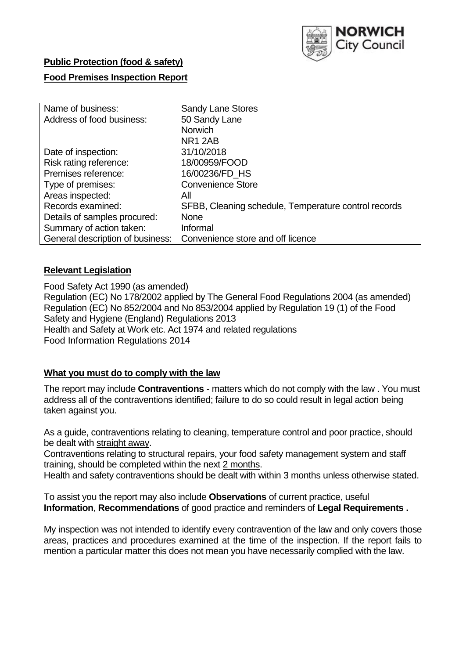

# **Public Protection (food & safety)**

# **Food Premises Inspection Report**

| Name of business:                | <b>Sandy Lane Stores</b>                             |
|----------------------------------|------------------------------------------------------|
| Address of food business:        | 50 Sandy Lane                                        |
|                                  | <b>Norwich</b>                                       |
|                                  | <b>NR1 2AB</b>                                       |
| Date of inspection:              | 31/10/2018                                           |
| Risk rating reference:           | 18/00959/FOOD                                        |
| Premises reference:              | 16/00236/FD HS                                       |
| Type of premises:                | <b>Convenience Store</b>                             |
| Areas inspected:                 | All                                                  |
| Records examined:                | SFBB, Cleaning schedule, Temperature control records |
| Details of samples procured:     | <b>None</b>                                          |
| Summary of action taken:         | Informal                                             |
| General description of business: | Convenience store and off licence                    |

### **Relevant Legislation**

Food Safety Act 1990 (as amended) Regulation (EC) No 178/2002 applied by The General Food Regulations 2004 (as amended) Regulation (EC) No 852/2004 and No 853/2004 applied by Regulation 19 (1) of the Food Safety and Hygiene (England) Regulations 2013 Health and Safety at Work etc. Act 1974 and related regulations Food Information Regulations 2014

### **What you must do to comply with the law**

The report may include **Contraventions** - matters which do not comply with the law . You must address all of the contraventions identified; failure to do so could result in legal action being taken against you.

As a guide, contraventions relating to cleaning, temperature control and poor practice, should be dealt with straight away.

Contraventions relating to structural repairs, your food safety management system and staff training, should be completed within the next 2 months.

Health and safety contraventions should be dealt with within 3 months unless otherwise stated.

To assist you the report may also include **Observations** of current practice, useful **Information**, **Recommendations** of good practice and reminders of **Legal Requirements .**

My inspection was not intended to identify every contravention of the law and only covers those areas, practices and procedures examined at the time of the inspection. If the report fails to mention a particular matter this does not mean you have necessarily complied with the law.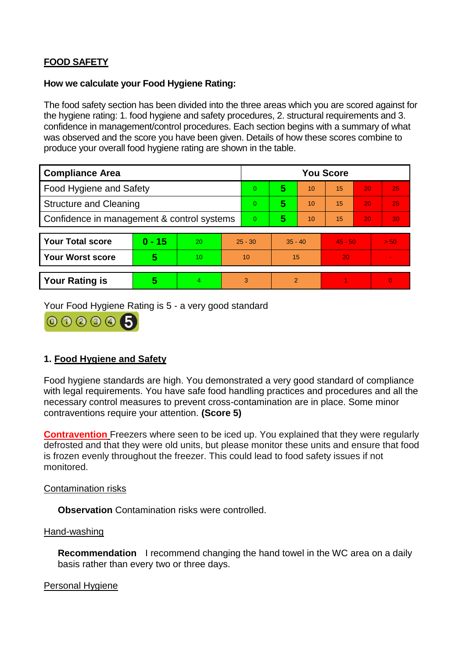# **FOOD SAFETY**

### **How we calculate your Food Hygiene Rating:**

The food safety section has been divided into the three areas which you are scored against for the hygiene rating: 1. food hygiene and safety procedures, 2. structural requirements and 3. confidence in management/control procedures. Each section begins with a summary of what was observed and the score you have been given. Details of how these scores combine to produce your overall food hygiene rating are shown in the table.

| <b>Compliance Area</b>                     |                         |                  |           | <b>You Score</b> |                |    |           |    |                |  |  |
|--------------------------------------------|-------------------------|------------------|-----------|------------------|----------------|----|-----------|----|----------------|--|--|
| Food Hygiene and Safety                    |                         |                  |           | 0                | 5              | 10 | 15        | 20 | 25             |  |  |
| <b>Structure and Cleaning</b>              |                         |                  | 0         | 5                | 10             | 15 | 20        | 25 |                |  |  |
| Confidence in management & control systems |                         |                  | 0         | 5                | 10             | 15 | 20        | 30 |                |  |  |
|                                            |                         |                  |           |                  |                |    |           |    |                |  |  |
| <b>Your Total score</b>                    | $0 - 15$                | 20               | $25 - 30$ |                  | $35 - 40$      |    | $45 - 50$ |    | > 50           |  |  |
| Your Worst score                           | $\overline{\mathbf{5}}$ | 10 <sup>10</sup> | 10        |                  | 15             |    | 20        |    | $\blacksquare$ |  |  |
|                                            |                         |                  |           |                  |                |    |           |    |                |  |  |
| <b>Your Rating is</b>                      | 5                       | $\overline{4}$   | 3         |                  | $\overline{2}$ |    |           |    | $\overline{0}$ |  |  |

Your Food Hygiene Rating is 5 - a very good standard



# **1. Food Hygiene and Safety**

Food hygiene standards are high. You demonstrated a very good standard of compliance with legal requirements. You have safe food handling practices and procedures and all the necessary control measures to prevent cross-contamination are in place. Some minor contraventions require your attention. **(Score 5)**

**Contravention** Freezers where seen to be iced up. You explained that they were regularly defrosted and that they were old units, but please monitor these units and ensure that food is frozen evenly throughout the freezer. This could lead to food safety issues if not monitored.

### Contamination risks

**Observation** Contamination risks were controlled.

#### Hand-washing

**Recommendation** I recommend changing the hand towel in the WC area on a daily basis rather than every two or three days.

### Personal Hygiene